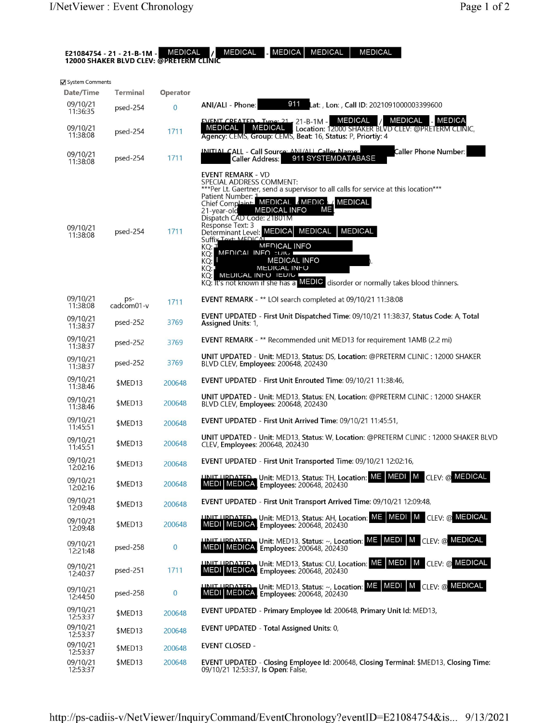| <b>MEDICAL</b><br><b>MEDICA</b><br><b>MEDICAL</b><br><b>MEDICAL</b><br>MEDICAL<br>E21084754 - 21 - 21-B-1M -<br><b>12000 SHAKER BLVD CLEV: @PRETERM CLINIC</b> |                             |                            |                                                                                                                                                                                                                                                                                                                                                                                                                                                                                                                                                                                                                                                        |  |  |  |
|----------------------------------------------------------------------------------------------------------------------------------------------------------------|-----------------------------|----------------------------|--------------------------------------------------------------------------------------------------------------------------------------------------------------------------------------------------------------------------------------------------------------------------------------------------------------------------------------------------------------------------------------------------------------------------------------------------------------------------------------------------------------------------------------------------------------------------------------------------------------------------------------------------------|--|--|--|
| System Comments                                                                                                                                                |                             |                            |                                                                                                                                                                                                                                                                                                                                                                                                                                                                                                                                                                                                                                                        |  |  |  |
| Date/Time<br>09/10/21                                                                                                                                          | <b>Terminal</b><br>psed-254 | Operator<br>$\overline{0}$ | 911<br>Lat: , Lon: , Call ID: 2021091000003399600<br>ANI/ALI - Phone:                                                                                                                                                                                                                                                                                                                                                                                                                                                                                                                                                                                  |  |  |  |
| 11:36:35<br>09/10/21<br>11:38:08                                                                                                                               | psed-254                    | 1711                       | MEDICAL<br>MEDICAL<br>MEDICA<br>FVENT CREATED - Type: 21 - 21-B-1M -<br>MEDICAL<br><b>MEDICAL</b><br>Location: 12000 SHAKER BLVD CLEV: @PRETERM CLINIC,<br>Agency: CEMS, Group: CEMS, Beat: 16, Status: P, Priortiy: 4                                                                                                                                                                                                                                                                                                                                                                                                                                 |  |  |  |
| 09/10/21<br>11:38:08                                                                                                                                           | psed-254                    | 1711                       | INITIAL CALL - Call Source: ANI/ALL Caller Name:<br>Caller Phone Number:<br>911 SYSTEMDATABASE<br><b>Caller Address:</b>                                                                                                                                                                                                                                                                                                                                                                                                                                                                                                                               |  |  |  |
| 09/10/21<br>11:38:08                                                                                                                                           | psed-254                    | 1711                       | <b>EVENT REMARK - VD</b><br>SPECIAL ADDRESS COMMENT:<br>***Per Lt. Gaertner, send a supervisor to all calls for service at this location***<br>Patient Number: 1<br>Chief Complaint. MEDICAL MEDIC 1/ MEDICAL<br>ME.<br><b>MEDICAL INFO</b><br>21-year-old<br>Dispatch CAD Code: 21B01M<br>Response Text: 3<br>Determinant Level: MEDICA MEDICAL<br><b>MEDICAL</b><br>Suffix Toxt: MEDICAL<br><b>MEDICAL INFO</b><br>KQ: T<br>MEDICAL INFO FUIL <b>E</b><br>KO:<br><b>MEDICAL INFO</b><br>KQ: L<br><b>MEDICAL INFO</b><br>KQ:<br>MEDICAL INFO IEDIU<br>KQ:l<br>KQ: It's not known if she has a <b>MEDIC</b> disorder or normally takes blood thinners. |  |  |  |
| 09/10/21<br>11:38:08                                                                                                                                           | ps-<br>cadcom01-v           | 1711                       | EVENT REMARK - ** LOI search completed at 09/10/21 11:38:08                                                                                                                                                                                                                                                                                                                                                                                                                                                                                                                                                                                            |  |  |  |
| 09/10/21<br>11:38:37                                                                                                                                           | psed-252                    | 3769                       | EVENT UPDATED - First Unit Dispatched Time: 09/10/21 11:38:37, Status Code: A, Total<br>Assigned Units: 1,                                                                                                                                                                                                                                                                                                                                                                                                                                                                                                                                             |  |  |  |
| 09/10/21<br>11:38:37                                                                                                                                           | psed-252                    | 3769                       | EVENT REMARK - ** Recommended unit MED13 for requirement 1AMB (2.2 mi)                                                                                                                                                                                                                                                                                                                                                                                                                                                                                                                                                                                 |  |  |  |
| 09/10/21<br>11:38:37                                                                                                                                           | psed-252                    | 3769                       | UNIT UPDATED - Unit: MED13, Status: DS, Location: @PRETERM CLINIC : 12000 SHAKER<br>BLVD CLEV, Employees: 200648, 202430                                                                                                                                                                                                                                                                                                                                                                                                                                                                                                                               |  |  |  |
| 09/10/21<br>11:38:46                                                                                                                                           | \$MED13                     | 200648                     | EVENT UPDATED - First Unit Enrouted Time: 09/10/21 11:38:46,                                                                                                                                                                                                                                                                                                                                                                                                                                                                                                                                                                                           |  |  |  |
| 09/10/21<br>11:38:46                                                                                                                                           | \$MED13                     | 200648                     | UNIT UPDATED - Unit: MED13, Status: EN, Location: @PRETERM CLINIC : 12000 SHAKER<br>BLVD CLEV, Employees: 200648, 202430                                                                                                                                                                                                                                                                                                                                                                                                                                                                                                                               |  |  |  |
| 09/10/21<br>11:45:51                                                                                                                                           | \$MED13                     | 200648                     | EVENT UPDATED - First Unit Arrived Time: 09/10/21 11:45:51,                                                                                                                                                                                                                                                                                                                                                                                                                                                                                                                                                                                            |  |  |  |
| 09/10/21<br>11:45:51                                                                                                                                           | \$MED13                     | 200648                     | <b>UNIT UPDATED - Unit: MED13, Status: W, Location: @PRETERM CLINIC : 12000 SHAKER BLVD</b><br>CLEV, Employees: 200648, 202430                                                                                                                                                                                                                                                                                                                                                                                                                                                                                                                         |  |  |  |
| 09/10/21<br>12:02:16                                                                                                                                           | \$MED13                     | 200648                     | EVENT UPDATED - First Unit Transported Time: 09/10/21 12:02:16,                                                                                                                                                                                                                                                                                                                                                                                                                                                                                                                                                                                        |  |  |  |
| 09/10/21<br>12:02:16                                                                                                                                           | \$MED13                     | 200648                     | UNIT UPDATED - Unit: MED13, Status: TH, Location: ME MEDI   M CLEV: @ MEDICAL<br>MEDI   MEDICA   Employees: 200648, 202430<br>Employees: 200648, 202430                                                                                                                                                                                                                                                                                                                                                                                                                                                                                                |  |  |  |
| 09/10/21<br>12:09:48                                                                                                                                           | \$MED13                     | 200648                     | EVENT UPDATED - First Unit Transport Arrived Time: 09/10/21 12:09:48,                                                                                                                                                                                                                                                                                                                                                                                                                                                                                                                                                                                  |  |  |  |
| 09/10/21<br>12:09:48                                                                                                                                           | \$MED13                     | 200648                     | <b>UNIT UPDATED.</b> Unit: MED13, Status: AH, Location: ME   MEDI   M   CLEV: @ MEDICAL<br>MEDI MEDICA, Employees: 200648, 202430                                                                                                                                                                                                                                                                                                                                                                                                                                                                                                                      |  |  |  |
| 09/10/21<br>12:21:48                                                                                                                                           | psed-258                    | $\overline{0}$             | <b>UNIT UPDATED</b> Unit: MED13, Status: ~, Location: ME MEDI M CLEV: @ MEDICAL<br>MEDI MEDICA, Employees: 200648, 202430                                                                                                                                                                                                                                                                                                                                                                                                                                                                                                                              |  |  |  |
| 09/10/21<br>12:40:37                                                                                                                                           | psed-251                    | 1711                       | <b>UNIT UPDATED.</b> Unit: MED13, Status: CU, Location: ME MEDI M CLEV: @ MEDICAL<br>MEDI MEDICA, Employees: 200648, 202430                                                                                                                                                                                                                                                                                                                                                                                                                                                                                                                            |  |  |  |
| 09/10/21<br>12:44:50                                                                                                                                           | psed-258                    | $\overline{0}$             | <b>UNIT UPDATED</b> Unit: MED13, Status: ~, Location: ME MEDI M CLEV: @ MEDICAL<br>MEDI MEDICA<br>Employees: 200648, 202430                                                                                                                                                                                                                                                                                                                                                                                                                                                                                                                            |  |  |  |
| 09/10/21<br>12:53:37                                                                                                                                           | \$MED13                     | 200648                     | EVENT UPDATED - Primary Employee Id: 200648, Primary Unit Id: MED13,                                                                                                                                                                                                                                                                                                                                                                                                                                                                                                                                                                                   |  |  |  |
| 09/10/21<br>12:53:37                                                                                                                                           | \$MED13                     | 200648                     | <b>EVENT UPDATED - Total Assigned Units: 0,</b>                                                                                                                                                                                                                                                                                                                                                                                                                                                                                                                                                                                                        |  |  |  |
| 09/10/21<br>12:53:37                                                                                                                                           | \$MED13                     | 200648                     | <b>EVENT CLOSED -</b>                                                                                                                                                                                                                                                                                                                                                                                                                                                                                                                                                                                                                                  |  |  |  |
| 09/10/21<br>12:53:37                                                                                                                                           | \$MED13                     | 200648                     | EVENT UPDATED - Closing Employee Id: 200648, Closing Terminal: \$MED13, Closing Time:<br>09/10/21 12:53:37, Is Open: False,                                                                                                                                                                                                                                                                                                                                                                                                                                                                                                                            |  |  |  |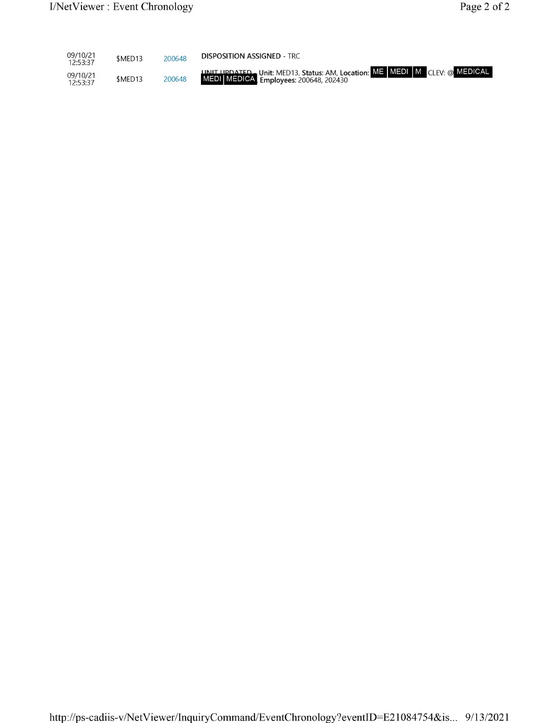| 09/10/21<br>12:53:37 | \$MED13 | 200648 | <b>DISPOSITION ASSIGNED - TRC</b>                                                                                            |
|----------------------|---------|--------|------------------------------------------------------------------------------------------------------------------------------|
| 09/10/21<br>12:53:37 | \$MED13 | 200648 | <b>IJNIT UPDATED.</b> Unit: MED13, Status: AM, Location: ME MEDI M CLEV: @ MEDICAL<br>MEDI MEDICA, Employees: 200648, 202430 |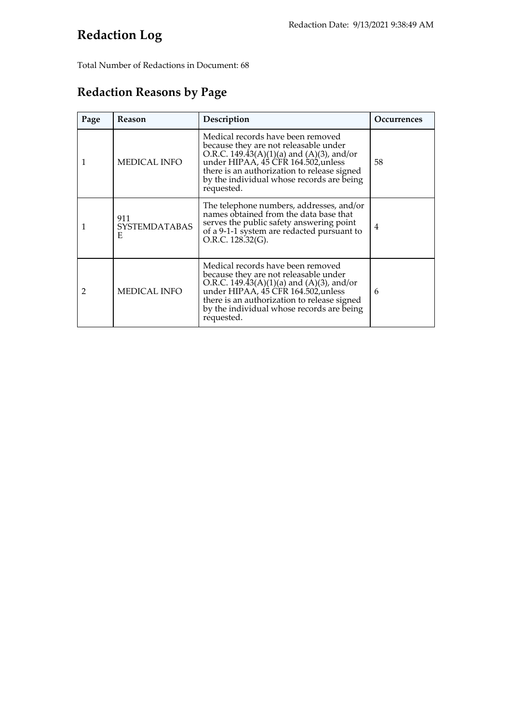## **Redaction Log**

Total Number of Redactions in Document: 68

## **Redaction Reasons by Page**

| Page | <b>Reason</b>                     | Description                                                                                                                                                                                                                                                              | <b>Occurrences</b> |
|------|-----------------------------------|--------------------------------------------------------------------------------------------------------------------------------------------------------------------------------------------------------------------------------------------------------------------------|--------------------|
| 1    | MEDICAL INFO                      | Medical records have been removed<br>because they are not releasable under<br>O.R.C. 149.43(A)(1)(a) and (A)(3), and/or<br>under HIPAA, 45 CFR 164.502, unless<br>there is an authorization to release signed<br>by the individual whose records are being<br>requested. | 58                 |
| 1    | 911<br><b>SYSTEMDATABAS</b><br>E. | The telephone numbers, addresses, and/or<br>names obtained from the data base that<br>serves the public safety answering point<br>of a 9-1-1 system are redacted pursuant to<br>O.R.C. 128.32(G).                                                                        | 4                  |
| 2    | <b>MEDICAL INFO</b>               | Medical records have been removed<br>because they are not releasable under<br>O.R.C. 149.43(A)(1)(a) and (A)(3), and/or<br>under HIPAA, 45 CFR 164.502, unless<br>there is an authorization to release signed<br>by the individual whose records are being<br>requested. | 6                  |